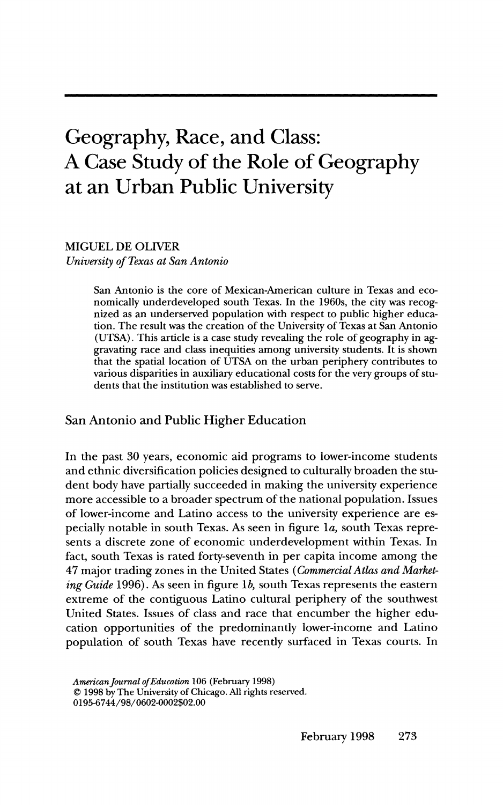# Geography, Race, and Class: A Case Study of the Role of Geography at an Urban Public University

## MIGUEL DE OLIVER *University of Texas at San Antonio*

San Antonio is the core of Mexican-American culture in Texas and economically underdeveloped south Texas. In the 1960s, the city was recognized as an underserved population with respect to public higher education. The result was the creation of the University of Texas at San Antonio (UTSA). This article is a case study revealing the role of geography in aggravating race and class inequities among university students. It is shown that the spatial location of UTSA on the urban periphery contributes to various disparities in auxiliary educational costs for the very groups of students that the institution was established to serve.

## San Antonio and Public Higher Education

In the past **30** years, economic aid programs to lower-income students and ethnic diversification policies designed to culturally broaden the student body have partially succeeded in making the university experience more accessible to a broader spectrum of the national population. Issues of lower-income and Latino access to the university experience are especially notable in south Texas. As seen in figure *la,* south Texas represents a discrete zone of economic underdevelopment within Texas. In fact, south Texas is rated forty-seventh in per capita income among the 47 major trading zones in the United States *(CommercialAtlns and Marketing Guide 1996).*As seen in figure *1*b, south Texas represents the eastern extreme of the contiguous Latino cultural periphery of the southwest United States. Issues of class and race that encumber the higher education opportunities of the predominantly lower-income and Latino population of south Texas have recently surfaced in Texas courts. In

*Amen'canJournal ofEducation* 106 (February 1998) O 1998 by The University of Chicago. All rights reserved. **01956744/98/0602-0002\$02.00**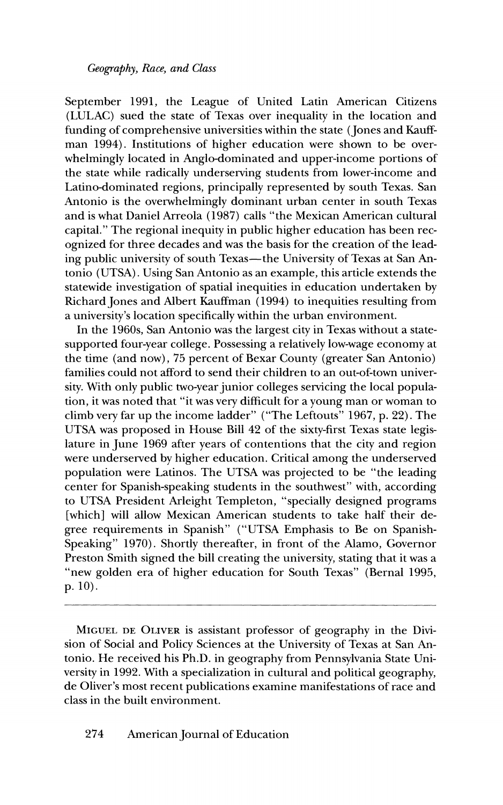September 1991, the League of United Latin American Citizens (LULAC) sued the state of Texas over inequality in the location and funding of comprehensive universities within the state (Jones and Kauffman 1994). Institutions of higher education were shown to be overwhelmingly located in Anglo-dominated and upper-income portions of the state while radically underserving students from lower-income and Latino-dominated regions, principally represented by south Texas. San Antonio is the overwhelmingly dominant urban center in south Texas and is what Daniel Arreola (1987) calls "the Mexican American cultural capital." The regional inequity in public higher education has been recognized for three decades and was the basis for the creation of the leading public university of south Texas-the University of Texas at San Antonio (UTSA). Using San Antonio as an example, this article extends the statewide investigation of spatial inequities in education undertaken by Richard Jones and Albert Kauffman (1994) to inequities resulting from a university's location specifically within the urban environment.

In the 1960s, San Antonio was the largest city in Texas without a statesupported four-year college. Possessing a relatively low-wage economy at the time (and now), 75 percent of Bexar County (greater San Antonio) families could not afford to send their children to an out-of-town university. With only public two-year junior colleges servicing the local population, it was noted that "it was very difficult for a young man or woman to climb very far up the income ladder" ("The Leftouts" 1967, p. 22). The UTSA was proposed in House Bill 42 of the sixty-first Texas state legislature in June 1969 after years of contentions that the city and region were underserved by higher education. Critical among the underserved population were Latinos. The UTSA was projected to be "the leading center for Spanish-speaking students in the southwest" with, according to UTSA President Arleight Templeton, "specially designed programs [which] will allow Mexican American students to take half their degree requirements in Spanish" ("UTSA Emphasis to Be on Spanish-Speaking" 1970). Shortly thereafter, in front of the Alamo, Governor Preston Smith signed the bill creating the university, stating that it was a "new golden era of higher education for South Texas" (Bernal 1995, p. 10).

MIGUEL DE OLIVER is assistant professor of geography in the Division of Social and Policy Sciences at the University of Texas at San Antonio. He received his Ph.D. in geography from Pennsylvania State University in 1992. With a specialization in cultural and political geography, de Oliver's most recent publications examine manifestations of race and class in the built environment.

## 274 American Journal of Education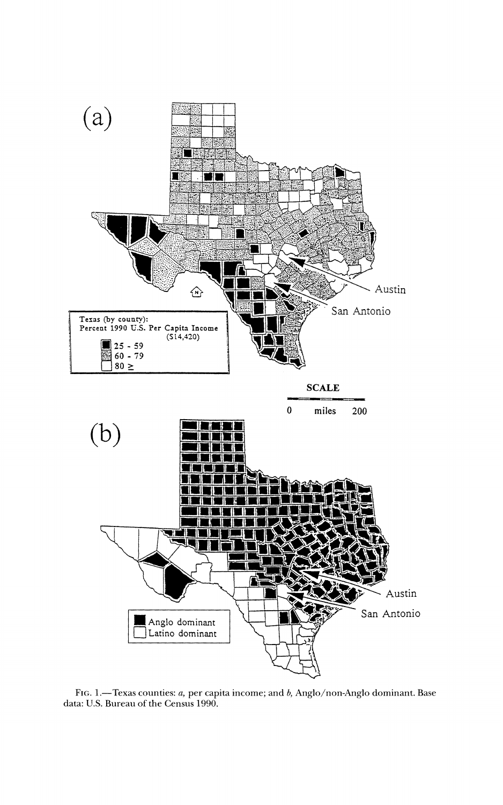

FIG. 1.-Texas counties: a, per capita income; and b, Anglo/non-Anglo dominant. Base data: U.S. Bureau of the Census 1990.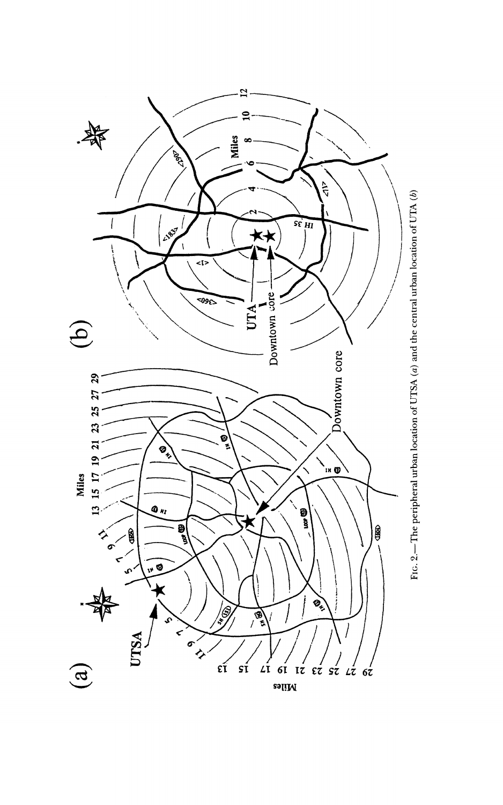

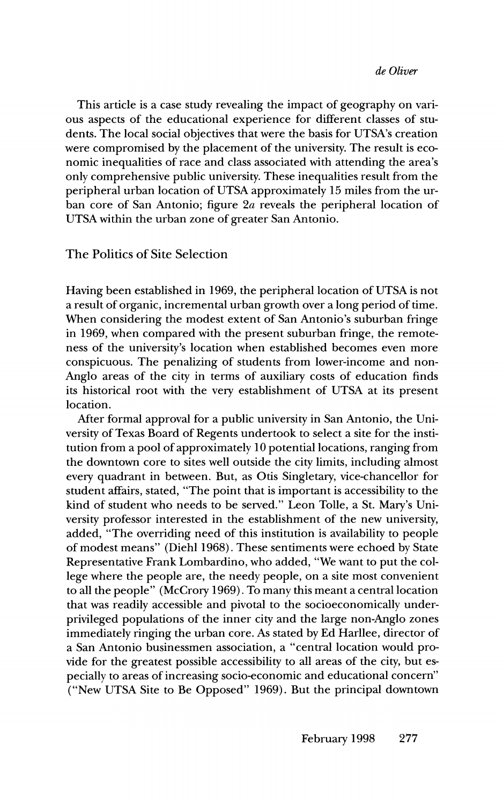This article is a case study revealing the impact of geography on various aspects of the educational experience for different classes of students. The local social objectives that were the basis for UTSA's creation were compromised by the placement of the university. The result is economic inequalities of race and class associated with attending the area's only comprehensive public university. These inequalities result from the peripheral urban location of UTSA approximately 15 miles from the urban core of San Antonio; figure  $2a$  reveals the peripheral location of UTSA within the urban zone of greater San Antonio.

## The Politics of Site Selection

Having been established in 1969, the peripheral location of UTSA is not a result of organic, incremental urban growth over a long period of time. When considering the modest extent of San Antonio's suburban fringe in 1969, when compared with the present suburban fringe, the remoteness of the university's location when established becomes even more conspicuous. The penalizing of students from lower-income and non-Anglo areas of the city in terms of auxiliary costs of education finds its historical root with the very establishment of UTSA at its present location.

After formal approval for a public university in San Antonio, the University of Texas Board of Regents undertook to select a site for the institution from a pool of approximately 10 potential locations, ranging from the downtown core to sites well outside the city limits, including almost every quadrant in between. But, as Otis Singletary, vice-chancellor for student affairs, stated, "The point that is important is accessibility to the kind of student who needs to be served." Leon Tolle, a St. Mary's University professor interested in the establishment of the new university, added, "The overriding need of this institution is availability to people of modest means" (Diehl 1968). These sentiments were echoed by State Representative Frank Lombardino, who added, "We want to put the college where the people are, the needy people, on a site most convenient to all the people" (McCrory 1969). To many this meant a central location that was readily accessible and pivotal to the socioeconomically underprivileged populations of the inner city and the large non-Anglo zones immediately ringing the urban core. As stated by Ed Harllee, director of a San Antonio businessmen association, a "central location would provide for the greatest possible accessibility to all areas of the city, but especially to areas of increasing socio-economic and educational concern" ("New UTSA Site to Be Opposed" 1969). But the principal downtown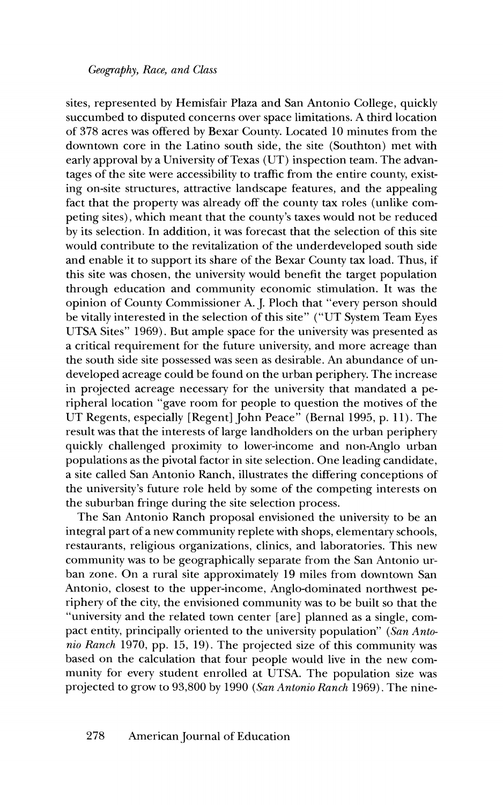sites, represented by Hemisfair Plaza and San Antonio College, quickly succumbed to disputed concerns over space limitations. A third location of 378 acres was offered by Bexar County. Located 10 minutes from the downtown core in the Latino south side, the site (Southton) met with early approval by a University of Texas (UT) inspection team. The advantages of the site were accessibility to traffic from the entire county, existing on-site structures, attractive landscape features, and the appealing fact that the property was already off the county tax roles (unlike competing sites), which meant that the county's taxes would not be reduced by its selection. In addition, it was forecast that the selection of this site would contribute to the revitalization of the underdeveloped south side and enable it to support its share of the Bexar County tax load. Thus, if this site was chosen, the university would benefit the target population through education and community economic stimulation. It was the opinion of County Commissioner A. J. Ploch that "every person should be vitally interested in the selection of this site" ("UT System Team Eyes UTSA Sites" 1969). But ample space for the university was presented as a critical requirement for the future university, and more acreage than the south side site possessed was seen as desirable. An abundance of undeveloped acreage could be found on the urban periphery. The increase in projected acreage necessary for the university that mandated a peripheral location "gave room for people to question the motives of the UT Regents, especially [Regent] John Peace" (Bernal 1995, p. 11). The result was that the interests of large landholders on the urban periphery quickly challenged proximity to lower-income and non-Anglo urban populations as the pivotal factor in site selection. One leading candidate, a site called San Antonio Ranch, illustrates the differing conceptions of the university's future role held by some of the competing interests on the suburban fringe during the site selection process.

The San Antonio Ranch proposal envisioned the university to be an integral part of a new community replete with shops, elementary schools, restaurants, religious organizations, clinics, and laboratories. This new community was to be geographically separate from the San Antonio urban zone. On a rural site approximately 19 miles from downtown San Antonio, closest to the upper-income, Anglo-dominated northwest periphery of the city, the envisioned community was to be built so that the "university and the related town center [are] planned as a single, compact entity, principally oriented to the university population" (San Anto*nio Ranch* 1970, pp. 15, 19). The projected size of this community was based on the calculation that four people would live in the new community for every student enrolled at UTSA. The population size was projected to grow to 93,800 by 1990 *(San Antonio Ranch* 1969). The nine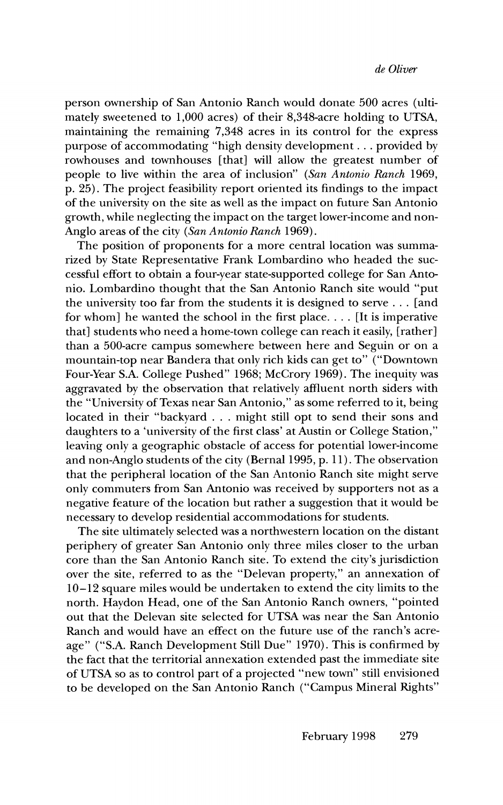person ownership of San Antonio Ranch would donate 500 acres (ultimately sweetened to 1,000 acres) of their 8,348-acre holding to UTSA, maintaining the remaining 7,348 acres in its control for the express purpose of accommodating "high density development. . . provided by rowhouses and townhouses [that] will allow the greatest number of people to live within the area of inclusion" (San Antonio Ranch 1969, p. 25). The project feasibility report oriented its findings to the impact of the university on the site as well as the impact on future San Antonio growth, while neglecting the impact on the target lower-income and non-Anglo areas of the city (San Antonio Ranch 1969).

The position of proponents for a more central location was summarized by State Representative Frank Lombardino who headed the successful effort to obtain a four-year state-supported college for San Antonio. Lombardino thought that the San Antonio Ranch site would "put the university too far from the students it is designed to serve . . . [and for whom] he wanted the school in the first place. . . . [It is imperative that] students who need a home-town college can reach it easily, [rather] than a 500-acre campus somewhere between here and Seguin or on a mountain-top near Bandera that only rich kids can get to" ("Downtown Four-Year S.A. College Pushed" 1968; McCrory 1969). The inequity was aggravated by the observation that relatively affluent north siders with the "University of Texas near San Antonio," as some referred to it, being located in their "backyard . . . might still opt to send their sons and daughters to a 'university of the first class' at Austin or College Station," leaving only a geographic obstacle of access for potential lower-income and non-Anglo students of the city (Bernal 1995, p. 11). The observation that the peripheral location of the San Antonio Ranch site might serve only commuters from San Antonio was received by supporters not as a negative feature of the location but rather a suggestion that it would be necessary to develop residential accommodations for students.

The site ultimately selected was a northwestern location on the distant periphery of greater San Antonio only three miles closer to the urban core than the San Antonio Ranch site. To extend the city's jurisdiction over the site, referred to as the "Delevan property," an annexation of 10-12 square miles would be undertaken to extend the city limits to the north. Haydon Head, one of the San Antonio Ranch owners, "pointed out that the Delevan site selected for UTSA was near the San Antonio Ranch and would have an effect on the future use of the ranch's acreage" ("S.A. Ranch Development Still Due" 1970). This is confirmed by the fact that the territorial annexation extended past the immediate site of UTSA so as to control part of a projected "new town" still envisioned to be developed on the San Antonio Ranch ("Campus Mineral Rights"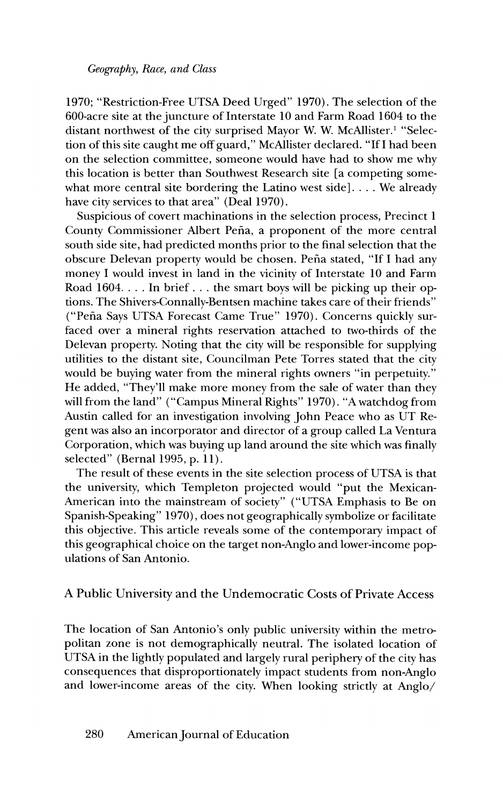1970; "Restriction-Free UTSA Deed Urged" 1970). The selection of the 600-acre site at the juncture of Interstate 10 and Farm Road 1604 to the distant northwest of the city surprised Mayor W. W. McAllister.<sup>1</sup> "Selection of this site caught me off guard," McAllister declared. "If I had been on the selection committee, someone would have had to show me why this location is better than Southwest Research site [a competing somewhat more central site bordering the Latino west side]... We already have city services to that area" (Deal 1970).

Suspicious of covert machinations in the selection process, Precinct 1 County Commissioner Albert Pefia, a proponent of the more central south side site, had predicted months prior to the final selection that the obscure Delevan property would be chosen. Peña stated, "If I had any money I would invest in land in the vicinity of Interstate 10 and Farm Road 1604. . . . In brief... the smart boys will be picking up their options. The Shivers-Connally-Bentsen machine takes care of their friends" ("Peña Says UTSA Forecast Came True" 1970). Concerns quickly surfaced over a mineral rights resenration attached to two-thirds of the Delevan property. Noting that the city will be responsible for supplying utilities to the distant site, Councilman Pete Torres stated that the city would be buying water from the mineral rights owners "in perpetuity." He added, "They'll make more money from the sale of water than they will from the land" ("Campus Mineral Rights" 1970). "A watchdog from Austin called for an investigation involving John Peace who as UT Regent was also an incorporator and director of a group called La Ventura Corporation, which was buying up land around the site which was finally selected" (Bernal 1995, p. 11).

The result of these events in the site selection process of UTSA is that the university, which Templeton projected would "put the Mexican-American into the mainstream of society" ("UTSA Emphasis to Be on Spanish-Speaking" 1970), does not geographically symbolize or facilitate this objective. This article reveals some of the contemporary impact of this geographical choice on the target non-Anglo and lower-income populations of San Antonio.

## A Public University and the Undemocratic Costs of Private Access

The location of San Antonio's only public university within the metropolitan zone is not demographically neutral. The isolated location of UTSA in the lightly populated and largely rural periphery of the city has consequences that disproportionately impact students from non-Anglo and lower-income areas of the city. When looking strictly at Anglo/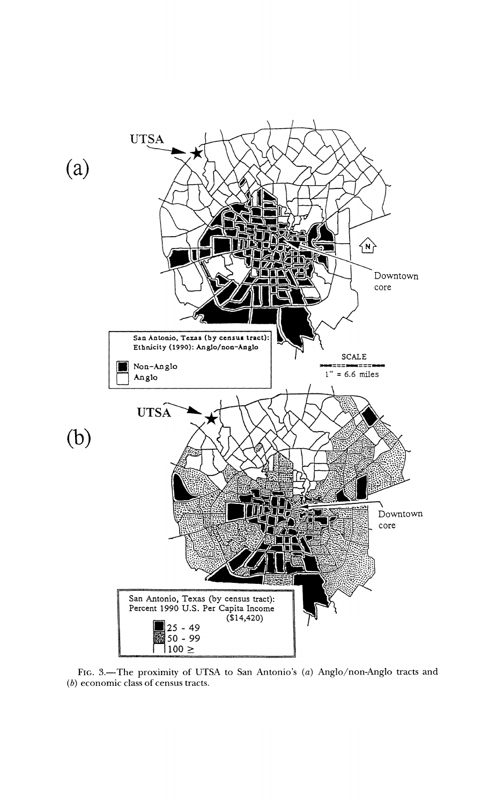

FIG. 3.-The proximity of UTSA to San Antonio's (a) Anglo/non-Anglo tracts and  $(b)$  economic class of census tracts.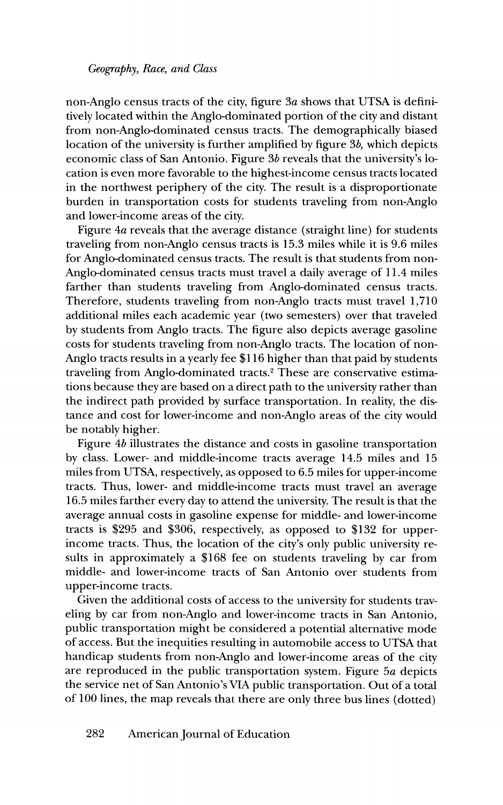non-Anglo census tracts of the city, figure *3a* shows that UTSA is definitively located within the Anglo-dominated portion of the city and distant from non-Anglo-dominated census tracts. The demographically biased location of the university is further amplified by figure *3b,* which depicts economic class of San Antonio. Figure *3b* reveals that the university's location is even more favorable to the highest-income census tracts located in the northwest periphery of the city. The result is a disproportionate burden in transportation costs for students traveling from non-Anglo and lower-income areas of the city.

Figure *4a* reveals that the average distance (straight line) for students traveling from non-Anglo census tracts is *15.3* miles while it is *9.6* miles for Anglo-dominated census tracts. The result is that students from non-Anglo-dominated census tracts must travel a daily average of *11.4* miles farther than students traveling from Anglo-dominated census tracts. Therefore, students traveling from non-Anglo tracts must travel *1,710*  additional miles each academic year (two semesters) over that traveled by students from Anglo tracts. The figure also depicts average gasoline costs for students traveling from non-Anglo tracts. The location of non-Anglo tracts results in a yearly fee *\$1 16* higher than that paid by students traveling from Anglo-dominated tracts.<sup>2</sup> These are conservative estimations because they are based on a direct path to the university rather than the indirect path provided by surface transportation. In reality, the distance and cost for lower-income and non-Anglo areas of the city would be notably higher.

Figure *4b* illustrates the distance and costs in gasoline transportation by class. Lower- and middle-income tracts average *14.5* miles and *15*  miles from UTSA, respectively, as opposed to *6.5* miles for upper-income tracts. Thus, lower- and middle-income tracts must travel an average *16.5* miles farther every day to attend the university. The result is that the average annual costs in gasoline expense for middle- and lower-income tracts is *\$295* and *\$306,* respectively, as opposed to *\$132* for upperincome tracts. Thus, the location of the city's only public university results in approximately a *\$168* fee on students traveling by car from middle- and lower-income tracts of San Antonio over students from upper-income tracts.

Given the additional costs of access to the university for students traveling by car from non-Anglo and lower-income tracts in San Antonio, public transportation might be considered a potential alternative mode of access. But the inequities resulting in automobile access to UTSA that handicap students from non-Anglo and lower-income areas of the city are reproduced in the public transportation system. Figure *5a* depicts the service net of San Antonio's VIA public transportation. Out of a total of *100* lines, the map reveals that there are only three bus lines (dotted)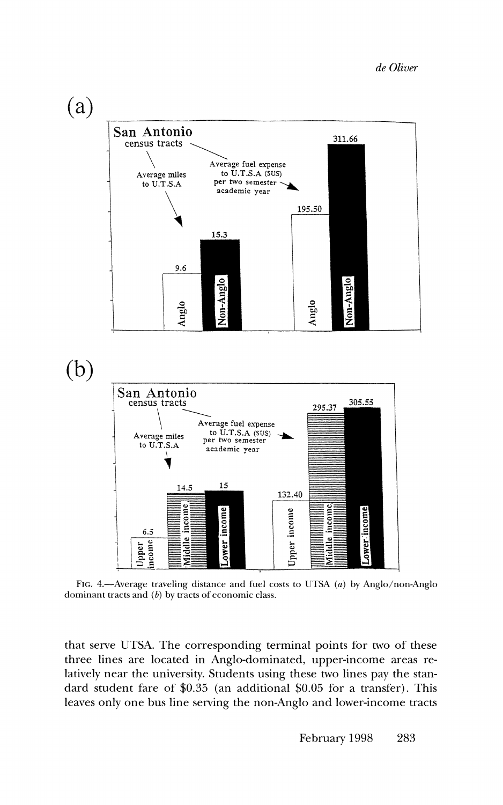



FIG. 4.—Average traveling distance and fuel costs to UTSA  $(a)$  by Anglo/non-Anglo dominant tracts and (b) by tracts of economic class.

that serve UTSX. The corresponding terminal points for two of these three lines are located in Anglo-dominated, upper-income areas relatively near the university. Students using these two lines pay the standard student fare of \$0.35 (an additional \$0.05 for a transfer). This leaves only one bus line serving the non-Anglo and lower-income tracts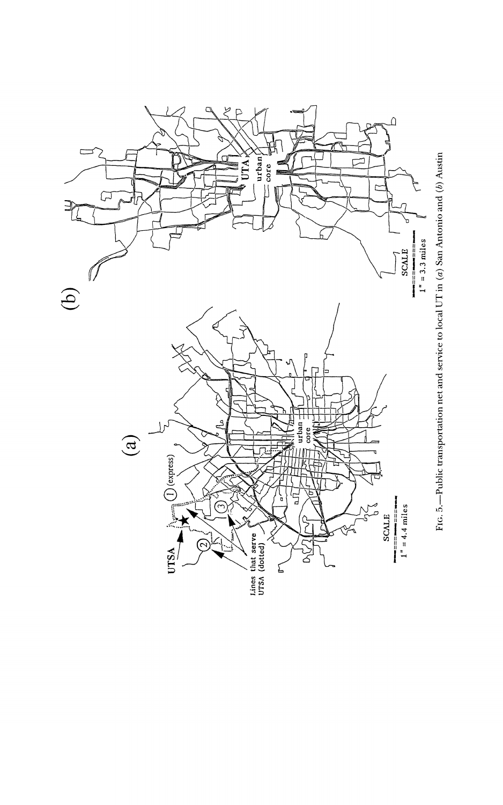

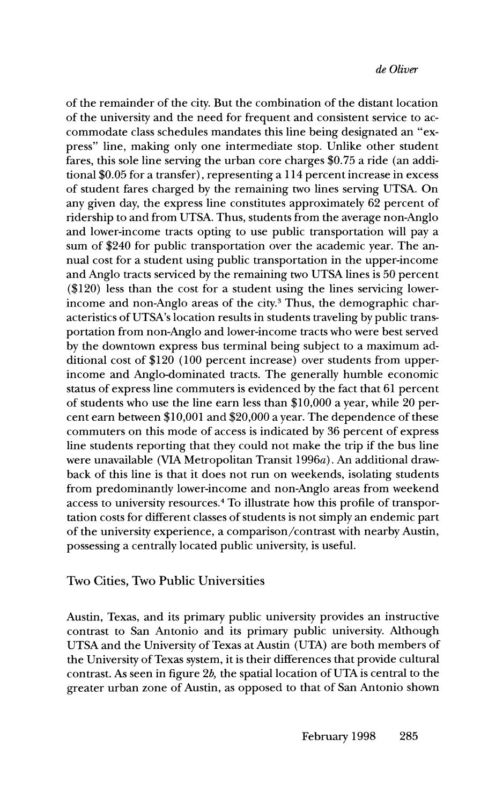of the remainder of the city. But the combination of the distant location of the university and the need for frequent and consistent service to accommodate class schedules mandates this line being designated an "express" line, making only one intermediate stop. Unlike other student fares, this sole line serving the urban core charges \$0.75 a ride (an additional \$0.05 for a transfer), representing a 114 percent increase in excess of student fares charged by the remaining two lines serving UTSA. On any given day, the express line constitutes approximately 62 percent of ridership to and from UTSA. Thus, students from the average non-Anglo and lower-income tracts opting to use public transportation will pay a sum of \$240 for public transportation over the academic year. The annual cost for a student using public transportation in the upper-income and Anglo tracts serviced by the remaining two UTSA lines is 50 percent (\$120) less than the cost for a student using the lines servicing lowerincome and non-Anglo areas of the city. ${}^{3}$  Thus, the demographic characteristics of UTSA's location results in students traveling by public transportation from non-Anglo and lower-income tracts who were best served by the downtown express bus terminal being subject to a maximum additional cost of \$120 (100 percent increase) over students from upperincome and Anglo-dominated tracts. The generally humble economic status of express line commuters is evidenced by the fact that 61 percent of students who use the line earn less than \$10,000 a year, while 20 percent earn between \$10,001 and \$20,000 a year. The dependence of these commuters on this mode of access is indicated by 36 percent of express line students reporting that they could not make the trip if the bus line were unavailable (VIA Metropolitan Transit 1996a). An additional drawback of this line is that it does not run on weekends, isolating students from predominantly lower-income and non-Anglo areas from weekend access to university resources.<sup>4</sup> To illustrate how this profile of transportation costs for different classes of students is not simply an endemic part of the university experience, a comparison/contrast with nearby Austin, possessing a centrally located public university, is useful.

Two Cities, Two Public Universities

Austin, Texas, and its primary public university provides an instructive contrast to San Antonio and its primary public university. Although UTSA and the University of Texas at Austin (UTA) are both members of the University of Texas system, it is their differences that provide cultural contrast. As seen in figure 26, the spatial location of UTA is central to the greater urban zone of Austin, as opposed to that of San Antonio shown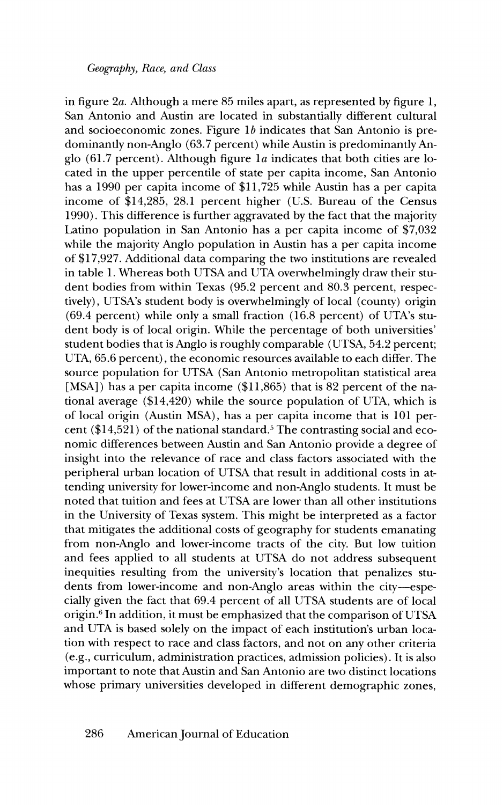in figure 2a. Although a mere 85 miles apart, as represented by figure 1, San Antonio and Austin are located in substantially different cultural and socioeconomic zones. Figure 1b indicates that San Antonio is predominantly non-Anglo (63.7 percent) while Austin is predominantly Anglo  $(61.7 \text{ percent})$ . Although figure 1*a* indicates that both cities are located in the upper percentile of state per capita income, San Antonio has a 1990 per capita income of \$11,725 while Austin has a per capita income of \$14,285, 28.1 percent higher (U.S. Bureau of the Census 1990). This difference is further aggravated by the fact that the majority Latino population in San Antonio has a per capita income of \$7,032 while the majority Anglo population in Austin has a per capita income of \$17,927. Additional data comparing the two institutions are revealed in table 1. Whereas both UTSA and UTA overwhelmingly draw their student bodies from within Texas (95.2 percent and 80.3 percent, respectively), UTSA's student body is ovenvhelmingly of local (county) origin (69.4 percent) while only a small fraction (16.8 percent) of UTA's student body is of local origin. While the percentage of both universities' student bodies that is Anglo is roughly comparable (UTSA, 54.2 percent; ETA, 65.6 percent), the economic resources available to each differ. The source population for UTSA (San Antonio metropolitan statistical area [MSA]) has a per capita income (\$11,865) that is 82 percent of the national average (\$14,420) while the source population of UTA, which is of local origin (Austin MSA), has a per capita income that is 101 percent (\$14,521) of the national standard.' The contrasting social and economic differences between Austin and San Antonio provide a degree of insight into the relevance of race and class factors associated with the peripheral urban location of UTSA that result in additional costs in attending university for lower-income and non-Anglo students. It must be noted that tuition and fees at UTSA are lower than all other institutions in the University of Texas system. This might be interpreted as a factor that mitigates the additional costs of geography for students emanating from non-Anglo and lower-income tracts of the city. But low tuition and fees applied to all students at UTSA do not address subsequent inequities resulting from the university's location that penalizes students from lower-income and non-Anglo areas within the city-especially given the fact that 69.4 percent of all UTSA students are of local origin.<sup>6</sup> In addition, it must be emphasized that the comparison of UTSA and UTA is based solely on the impact of each institution's urban location with respect to race and class factors, and not on any other criteria (e.g., curriculum, administration practices, admission policies). It is also important to note that Austin and San Antonio are two distinct locations whose primary universities developed in different demographic zones,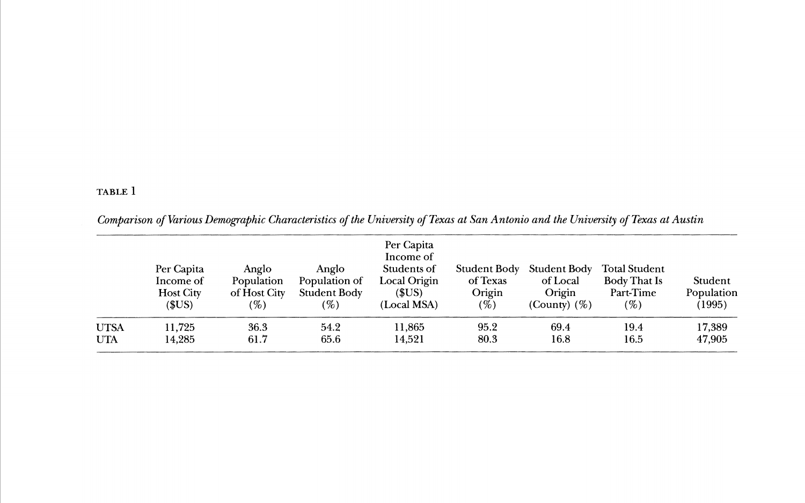# TABLE 1

Comparison of Various Demographic Characteristics of the University of Texas at San Antonio and the University of Texas at Austin

|             | Per Capita<br>Income of<br><b>Host City</b><br>\$US) | Anglo<br>Population<br>of Host City<br>(%) | Anglo<br>Population of<br>Student Body<br>$( \% )$ | Per Capita<br>Income of<br>Students of<br>Local Origin<br>(SUS)<br>(Local MSA) | Student Body<br>of Texas<br>Origin<br>(%) | <b>Student Body</b><br>of Local<br>Origin<br>(County) $(\%)$ | <b>Total Student</b><br><b>Body That Is</b><br>Part-Time<br>$( \% )$ | Student<br>Population<br>(1995) |
|-------------|------------------------------------------------------|--------------------------------------------|----------------------------------------------------|--------------------------------------------------------------------------------|-------------------------------------------|--------------------------------------------------------------|----------------------------------------------------------------------|---------------------------------|
| <b>UTSA</b> | 11.725                                               | 36.3                                       | 54.2                                               | 11,865                                                                         | 95.2                                      | 69.4                                                         | 19.4                                                                 | 17,389                          |
| <b>UTA</b>  | 14,285                                               | 61.7                                       | 65.6                                               | 14.521                                                                         | 80.3                                      | 16.8                                                         | 16.5                                                                 | 47,905                          |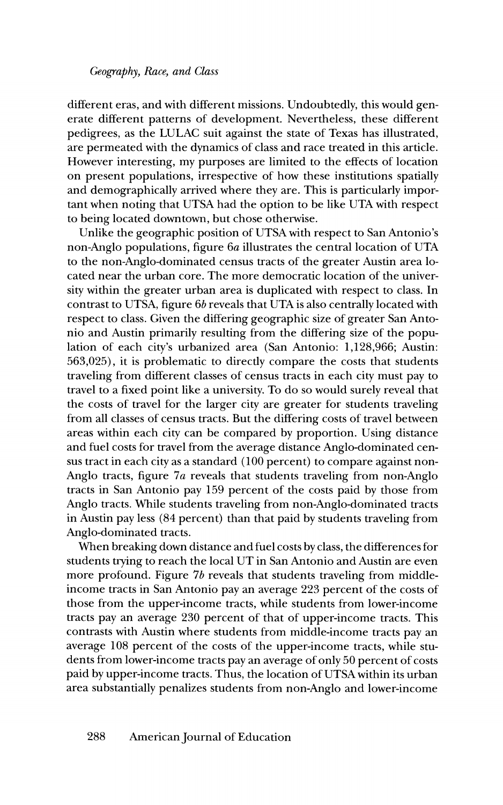different eras, and with different missions. Undoubtedly, this would generate different patterns of development. Nevertheless, these different pedigrees, as the LULAC suit against the state of Texas has illustrated, are permeated with the dynamics of class and race treated in this article. However interesting, my purposes are limited to the effects of location on present populations, irrespective of how these institutions spatially and demographically arrived where they are. This is particularly important when noting that UTSA had the option to be like UTA with respect to being located downtown, but chose otherwise.

Unlike the geographic position of UTSA with respect to San Antonio's non-Anglo populations, figure *6a* illustrates the central location of UTA to the non-Anglo-dominated census tracts of the greater Austin area located near the urban core. The more democratic location of the university within the greater urban area is duplicated with respect to class. In contrast to UTSA, figure *6b* reveals that UTA is also centrally located with respect to class. Given the differing geographic size of greater San Antonio and Austin primarily resulting from the differing size of the population of each city's urbanized area (San Antonio: *1,128,966;* Austin: *563,025),* it is problematic to directly compare the costs that students traveling from different classes of census tracts in each city must pay to travel to a fixed point like a university. To do so would surely reveal that the costs of travel for the larger city are greater for students traveling from all classes of census tracts. But the differing costs of travel between areas within each city can be compared by proportion. Using distance and fuel costs for travel from the average distance Anglo-dominated census tract in each city as a standard *(100* percent) to compare against non-Anglo tracts, figure *7a* reveals that students traveling from non-Anglo tracts in San Antonio pay *159* percent of the costs paid by those from Anglo tracts. While students traveling from non-Anglo-dominated tracts in Austin pay less *(84* percent) than that paid by students traveling from Anglo-dominated tracts.

When breaking down distance and fuel costs by class, the differences for students trying to reach the local UT in San Antonio and Austin are even more profound. Figure 7b reveals that students traveling from middleincome tracts in San Antonio pay an average *223* percent of the costs of those from the upper-income tracts, while students from lower-income tracts pay an average *230* percent of that of upper-income tracts. This contrasts with Austin where students from middle-income tracts pay an average *108* percent of the costs of the upper-income tracts, while students from lower-income tracts pay an average of only *50* percent of costs paid by upper-income tracts. Thus, the location of UTSAwithin its urban area substantially penalizes students from non-Anglo and lower-income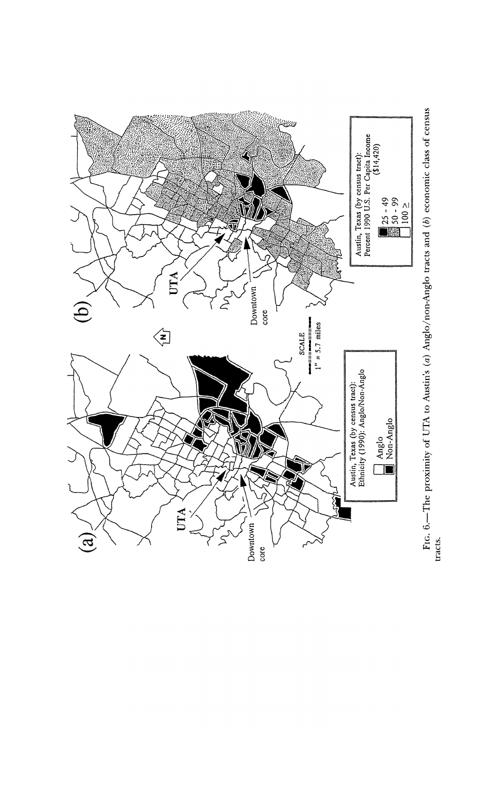

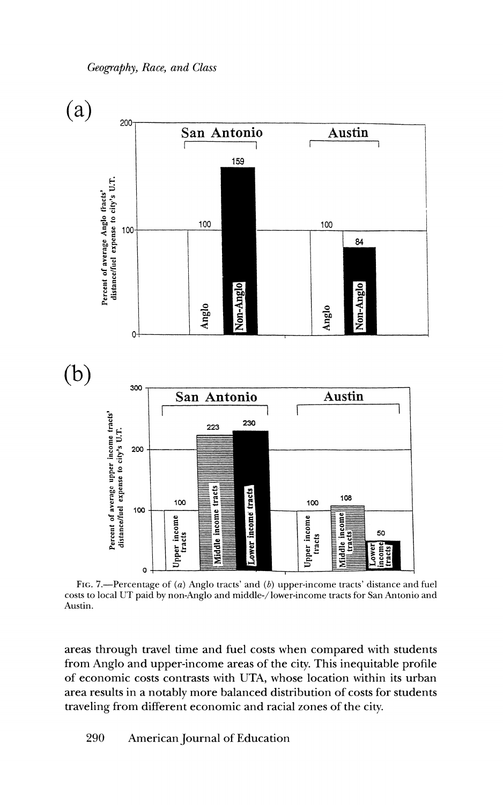



FIG. 7.—Percentage of  $(a)$  Anglo tracts' and  $(b)$  upper-income tracts' distance and fuel costs to local C'T paid hy non-Anglo and rniddlr-/lower-income tracts for San Antonio and Austin.

areas through travel time and fuel costs when compared with students from Anglo and upper-income areas of the city. This inequitable profile of economic costs contrasts with UTA, whose location within its urban area results in a notably more balanced distribution of costs for students traveling from different economic and racial zones of the city.

# 290 American Journal of Education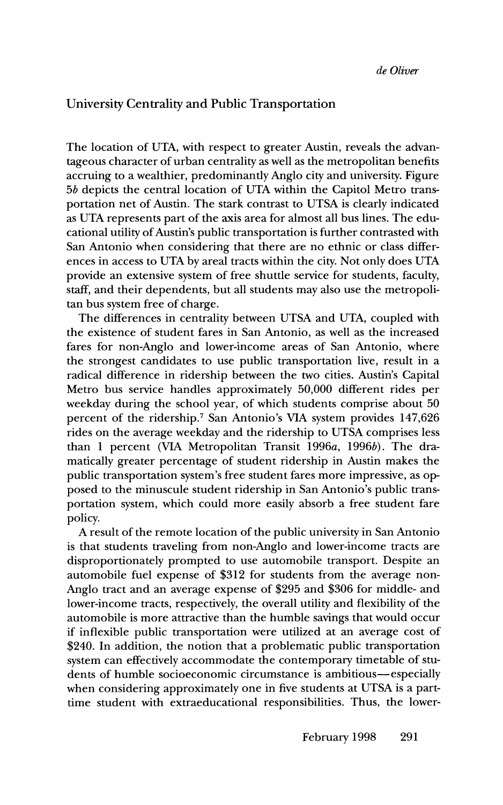# University Centrality and Public Transportation

The location of UTA, with respect to greater Austin, reveals the advantageous character of urban centrality as well as the metropolitan benefits accruing to a wealthier, predominantly Anglo city and university. Figure *5b* depicts the central location of UTA within the Capitol Metro transportation net of Austin. The stark contrast to UTSA is clearly indicated as UTA represents part of the axis area for almost all bus lines. The educational utility of Austin's public transportation is further contrasted with San Antonio when considering that there are no ethnic or class differences in access to UTA by areal tracts within the city. Not only does UTA provide an extensive system of free shuttle service for students, faculty, staff, and their dependents, but all students may also use the metropolitan bus system free of charge.

The differences in centrality between UTSA and UTA, coupled with the existence of student fares in San Antonio, as well as the increased fares for non-Anglo and lower-income areas of San Antonio, where the strongest candidates to use public transportation live, result in a radical difference in ridership between the two cities. Austin's Capital Metro bus service handles approximately *50,000* different rides per weekday during the school year, of which students comprise about *50*  percent of the ridership.<sup>7</sup> San Antonio's VIA system provides 147,626 rides on the average weekday and the ridership to UTSA comprises less than *1* percent (VIA Metropolitan Transit *1996a, 19966).* The dramatically greater percentage of student ridership in Austin makes the public transportation system's free student fares more impressive, as opposed to the minuscule student ridership in San Antonio's public transportation system, which could more easily absorb a free student fare policy.

A result of the remote location of the public university in San Antonio is that students traveling from non-Anglo and lower-income tracts are disproportionately prompted to use automobile transport. Despite an automobile fuel expense of *\$312* for students from the average non-Anglo tract and an average expense of *\$295* and *\$306* for middle- and lower-income tracts, respectively, the overall utility and flexibility of the automobile is more attractive than the humble savings that would occur if inflexible public transportation were utilized at an average cost of *\$240.* In addition, the notion that a problematic public transportation system can effectively accommodate the contemporary timetable of students of humble socioeconomic circumstance is ambitious-especially when considering approximately one in five students at UTSA is a parttime student with extraeducational responsibilities. Thus, the lower-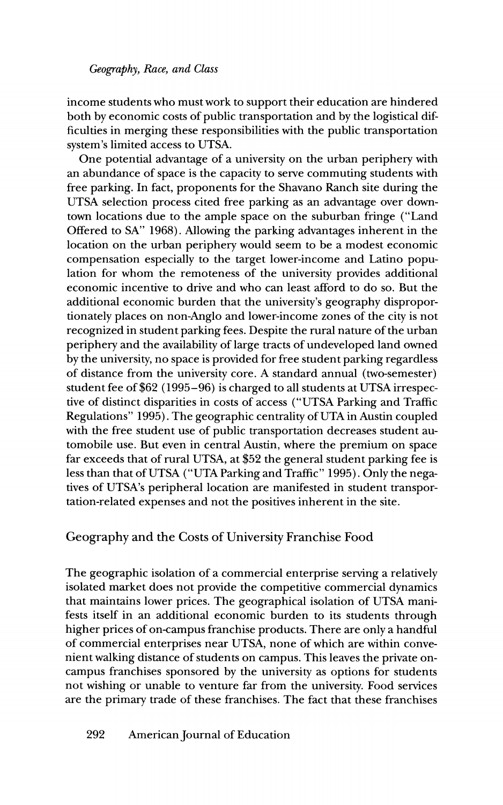## *Geography, Race, and Class*

income students who must work to support their education are hindered both by economic costs of public transportation and by the logistical difficulties in merging these responsibilities with the public transportation system's limited access to UTSA.

One potential advantage of a university on the urban periphery with an abundance of space is the capacity to serve commuting students with free parking. In fact, proponents for the Shavano Ranch site during the UTSA selection process cited free parking as an advantage over downtown locations due to the ample space on the suburban fringe ("Land Offered to SA" 1968). Allowing the parking advantages inherent in the location on the urban periphery would seem to be a modest economic compensation especially to the target lower-income and Latino population for whom the remoteness of the university provides additional economic incentive to drive and who can least afford to do so. But the additional economic burden that the university's geography disproportionately places on non-Anglo and lower-income zones of the city is not recognized in student parking fees. Despite the rural nature of the urban periphery and the availability of large tracts of undeveloped land owned by the university, no space is provided for free student parking regardless of distance from the university core. A standard annual (two-semester) student fee of \$62 (1995-96) is charged to all students at UTSA irrespective of distinct disparities in costs of access ("UTSA Parking and Traffic Regulations" 1995). The geographic centrality of UTA in Austin coupled with the free student use of public transportation decreases student automobile use. But even in central Austin, where the premium on space far exceeds that of rural UTSA, at \$52 the general student parking fee is less than that of UTSA ("UTA Parking and Traffic" 1995). Only the negatives of UTSA's peripheral location are manifested in student transportation-related expenses and not the positives inherent in the site.

# Geography and the Costs of University Franchise Food

The geographic isolation of a commercial enterprise serving a relatively isolated market does not provide the competitive commercial dynamics that maintains lower prices. The geographical isolation of UTSA manifests itself in an additional economic burden to its students through higher prices of on-campus franchise products. There are only a handful of commercial enterprises near UTSA, none of which are within convenient walking distance of students on campus. This leaves the private oncampus franchises sponsored by the university as options for students not wishing or unable to venture far from the university. Food services are the primary trade of these franchises. The fact that these franchises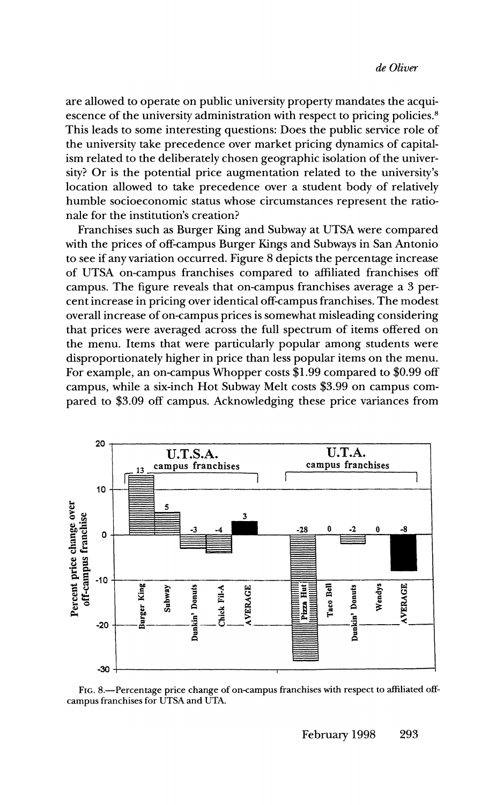are allowed to operate on public university property mandates the acquiescence of the university administration with respect to pricing policies. $8$ This leads to some interesting questions: Does the public service role of the university take precedence over market pricing dynamics of capitalism related to the deliberately chosen geographic isolation of the university? Or is the potential price augmentation related to the university's location allowed to take precedence over a student body of relatively humble socioeconomic status whose circumstances represent the rationale for the institution's creation?

Franchises such as Burger King and Subway at UTSA were compared with the prices of off-campus Burger Kings and Subways in San Antonio to see if any variation occurred. Figure 8 depicts the percentage increase of UTSA on-campus franchises compared to affiliated franchises off campus. The figure reveals that on-campus franchises average a 3 percent increase in pricing over identical off-campus franchises. The modest overall increase of on-campus prices is somewhat misleading considering that prices were averaged across the full spectrum of items offered on the menu. Items that were particularly popular among students were disproportionately higher in price than less popular items on the menu. For example, an on-campus Whopper costs \$1.99 compared to \$0.99 off campus, while a six-inch Hot Subway Melt costs \$3.99 on campus compared to \$3.09 off campus. Acknowledging these price variances from way at UTSA were compared<br>s and Subways in San Antonio<br>epicts the percentage increase<br>d to affiliated franchises off<br>as franchises average a 3 per-<br>ampus franchises. The modest<br>ewhat misleading considering<br>spectrum of item



FIG.8.-Percentage price change of on-campus franchises with respect to affiliated offcampus franchises for UTSA and UTA.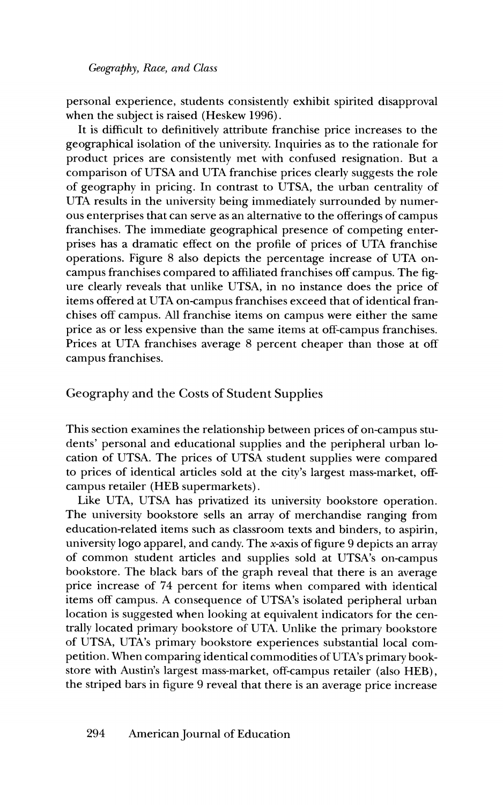personal experience, students consistently exhibit spirited disapproval when the subject is raised (Heskew 1996).

It is difficult to definitively attribute franchise price increases to the geographical isolation of the university. Inquiries as to the rationale for product prices are consistently met with confused resignation. But a comparison of UTSA and UTA franchise prices clearly suggests the role of geography in pricing. In contrast to UTSA, the urban centrality of UTA results in the university being immediately surrounded by numerous enterprises that can serve as an alternative to the offerings of campus franchises. The immediate geographical presence of competing enterprises has a dramatic effect on the profile of prices of UTA franchise operations. Figure 8 also depicts the percentage increase of UTA oncampus franchises compared to affiliated franchises off campus. The figure clearly reveals that unlike UTSA, in no instance does the price of items offered at UTA on-campus franchises exceed that of identical franchises off campus. All franchise items on campus were either the same price as or less expensive than the same items at off-campus franchises. Prices at UTA franchises average 8 percent cheaper than those at off campus franchises.

Geography and the Costs of Student Supplies

This section examines the relationship between prices of on-campus students' personal and educational supplies and the peripheral urban location of UTSA. The prices of UTSA student supplies were compared to prices of identical articles sold at the city's largest mass-market, offcampus retailer (HEB supermarkets).

Like UTA, UTSA has privatized its university bookstore operation. The university bookstore sells an array of merchandise ranging from education-related items such as classroom texts and binders, to aspirin, university logo apparel, and candy. The x-axis of figure 9 depicts an array of common student articles and supplies sold at UTSA's on-campus bookstore. The black bars of the graph reveal that there is an average price increase of 74 percent for items when compared with identical items off campus. A consequence of UTSA's isolated peripheral urban location is suggested when looking at equivalent indicators for the centrally located primary bookstore of UTA. Unlike the primary bookstore of UTSA, UTA's primary bookstore experiences substantial local competition. N'hen comparing identical commodities of UTA's primary bookstore with Austin's largest mass-market, off-campus retailer (also HEB), the striped bars in figure 9 reveal that there is an average price increase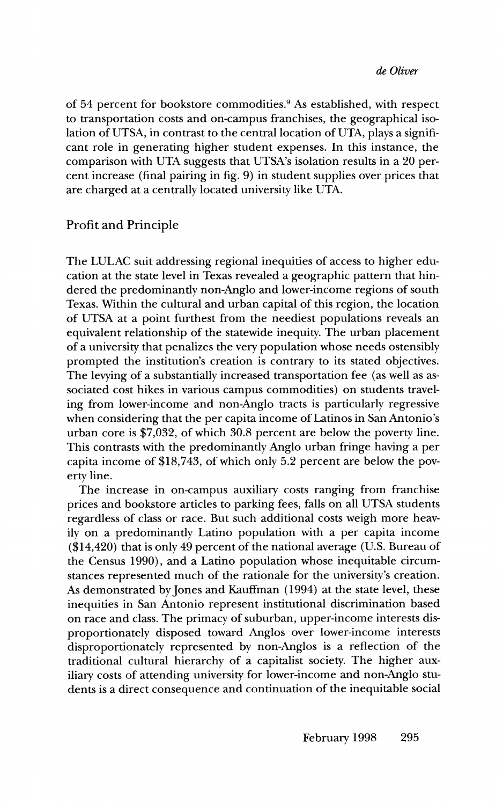of 54 percent for bookstore commodities.<sup>9</sup> As established, with respect to transportation costs and on-campus franchises, the geographical isolation of UTSA, in contrast to the central location of UTA, plays a significant role in generating higher student expenses. In this instance, the comparison with UTA suggests that UTSA's isolation results in a 20 percent increase (final pairing in fig. 9) in student supplies over prices that are charged at a centrally located university like UTA.

## Profit and Principle

The LULAC suit addressing regional inequities of access to higher education at the state level in Texas revealed a geographic pattern that hindered the predominantly non-Anglo and lower-income regions of south Texas. Within the cultural and urban capital of this region, the location of UTSA at a point furthest from the neediest populations reveals an equivalent relationship of the statewide inequity. The urban placement of a university that penalizes the very population whose needs ostensibly prompted the institution's creation is contrary to its stated objectives. The levying of a substantially increased transportation fee (as well as associated cost hikes in various campus commodities) on students traveling from lower-income and non-Anglo tracts is particularly regressive when considering that the per capita income of Latinos in San Antonio's urban core is \$7,032, of which 30.8 percent are below the poverty line. This contrasts with the predominantly Anglo urban fringe having a per capita income of \$18,743, of which only 5.2 percent are below the poverty line.

The increase in on-campus auxiliary costs ranging from franchise prices and bookstore articles to parking fees, falls on all UTSA students regardless of class or race. But such additional costs weigh more heavily on a predominantly Latino population with a per capita income (\$14,420) that is only 49 percent of the national average (U.S. Bureau of the Census 1990), and a Latino population whose inequitable circumstances represented much of the rationale for the university's creation. As demonstrated by Jones and Kauffman (1994) at the state level, these inequities in San Antonio represent institutional discrimination based on race and class. The primacy of suburban, upper-income interests disproportionately disposed toward Anglos over lower-income interests disproportionately represented by non-Anglos is a reflection of the traditional cultural hierarchy of a capitalist society. The higher auxiliary costs of attending university for lower-income and non-Anglo students is a direct consequence and continuation of the inequitable social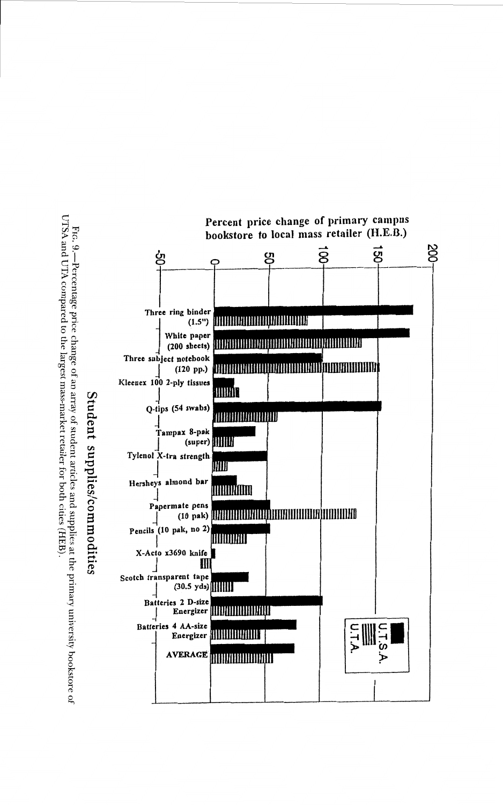

UTSA and UTA compared to the largest mass-market retailer for both cities (HEB). Fic. 9. Percentage price change of an array of student articles and supplies at the primary university bookstore of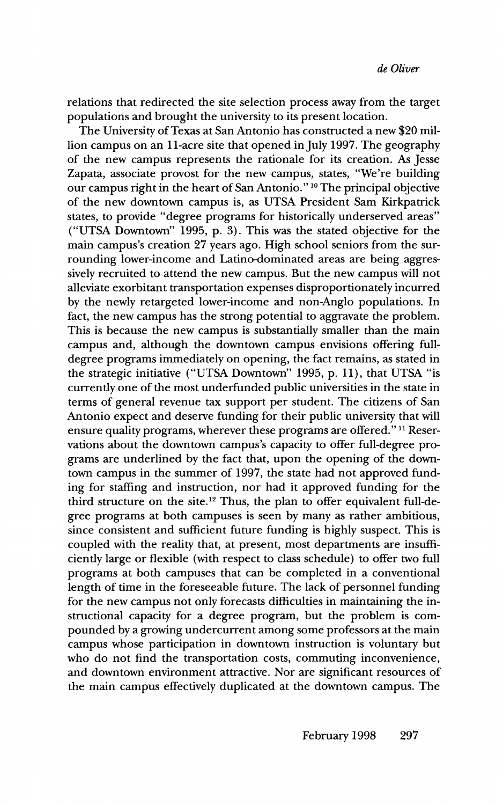relations that redirected the site selection process away from the target populations and brought the university to its present location.

The University of Texas at San Antonio has constructed a new \$20 million campus on an 11-acre site that opened in July 1997. The geography of the new campus represents the rationale for its creation. As Jesse Zapata, associate provost for the new campus, states, "We're building our campus right in the heart of San Antonio." <sup>10</sup> The principal objective of the new downtown campus is, as UTSA President Sam Kirkpatrick states, to provide "degree programs for historically underserved areas" ("UTSA Downtown" 1995, p. **3).** This was the stated objective for the main campus's creation 27 years ago. High school seniors from the surrounding lower-income and Latino-dominated areas are being aggressively recruited to attend the new campus. But the new campus will not alleviate exorbitant transportation expenses disproportionately incurred by the newly retargeted lower-income and non-Anglo populations. In fact, the new campus has the strong potential to aggravate the problem. This is because the new campus is substantially smaller than the main campus and, although the downtown campus envisions offering fulldegree programs immediately on opening, the fact remains, as stated in the strategic initiative ("UTSA Downtown" 1995, p. 11), that UTSA "is currently one of the most underfunded public universities in the state in terms of general revenue tax support per student. The citizens of San Antonio expect and deserve funding for their public university that will ensure quality programs, wherever these programs are offered."<sup>11</sup> Reservations about the downtown campus's capacity to offer full-degree programs are underlined by the fact that, upon the opening of the downtown campus in the summer of 1997, the state had not approved funding for staffing and instruction, nor had it approved funding for the third structure on the site.<sup>12</sup> Thus, the plan to offer equivalent full-degree programs at both campuses is seen by many as rather ambitious, since consistent and sufficient future funding is highly suspect. This is coupled with the reality that, at present, most departments are insufficiently large or flexible (with respect to class schedule) to offer two full programs at both campuses that can be completed in a conventional length of time in the foreseeable future. The lack of personnel funding for the new campus not only forecasts difficulties in maintaining the instructional capacity for a degree program, but the problem is compounded by a growing undercurrent among some professors at the main campus whose participation in downtown instruction is voluntary but who do not find the transportation costs, commuting inconvenience, and downtown environment attractive. Nor are significant resources of the main campus effectively duplicated at the downtown campus. The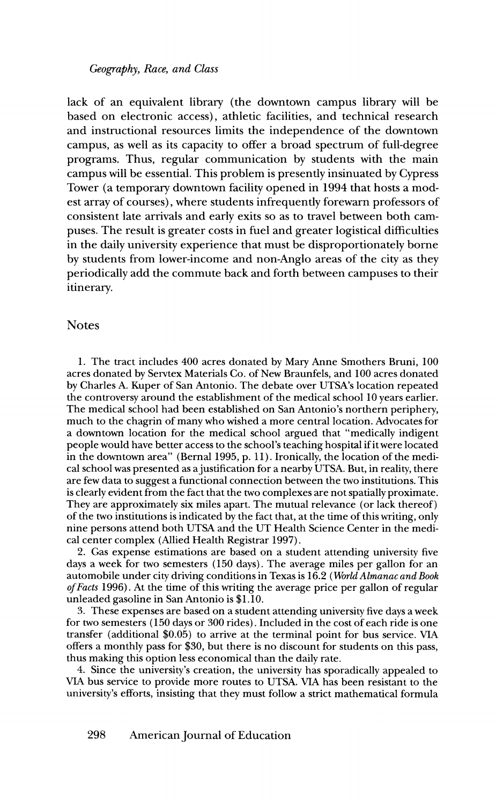#### *Geography, Race, and Class*

lack of an equivalent library (the downtown campus library will be based on electronic access), athletic facilities, and technical research and instructional resources limits the independence of the downtown campus, as well as its capacity to offer a broad spectrum of full-degree programs. Thus, regular communication by students with the main campus will be essential. This problem is presently insinuated by Cypress Tower (a temporary downtown facility opened in 1994 that hosts a modest array of courses), where students infrequently forewarn professors of consistent late arrivals and early exits so as to travel between both campuses. The result is greater costs in fuel and greater logistical difficulties in the daily university experience that must be disproportionately borne by students from lower-income and non-Anglo areas of the city as they periodically add the commute back and forth between campuses to their itinerary.

#### **Notes**

1. The tract includes 400 acres donated by Mary Anne Smothers Bruni, 100 acres donated by Servtex Materials Co. of New Braunfels, and 100 acres donated by Charles A. Kuper of San Antonio. The debate over UTSA's location repeated the controversy around the establishment of the medical school 10 years earlier. The medical school had been established on San Antonio's northern periphery, much to the chagrin of many who wished a more central location. Advocates for a downtown location for the medical school argued that "medically indigent people would have better access to the school's teaching hospital if itwere located in the downtown area" (Bernal 1995, p. 11). Ironically, the location of the medical school was presented as a justification for a nearby UTSA. But, in reality, there are few data to suggest a functional connection between the two institutions. This is clearly evident from the fact that the two complexes are not spatially proximate. They are approximately six miles apart. The mutual relevance (or lack thereof) of the two institutions is indicated by the fact that, at the time of this writing, only nine persons attend both UTSA and the UT Health Science Center in the medical center complex (Allied Health Registrar 1997).

2. Gas expense estimations are based on a student attending university five days a week for two semesters (150 days). The average miles per gallon for an automobile under city driving conditions in Texas is 16.2 (World Almanac and Book of Facts 1996). At the time of this writing the average price per gallon of regular unleaded gasoline in San Antonio is \$1.10.

3. These expenses are based on a student attending university five days a week for two semesters (150 days or 300 rides). Included in the cost of each ride is one transfer (additional \$0.05) to arrive at the terminal point for bus service. VIA offers a monthly pass for \$30, but there is no discount for students on this pass, thus making this option less economical than the daily rate.

4. Since the university's creation, the university has sporadically appealed to VIA bus service to provide more routes to UTSA. VIA has been resistant to the university's efforts, insisting that they must follow a strict mathematical formula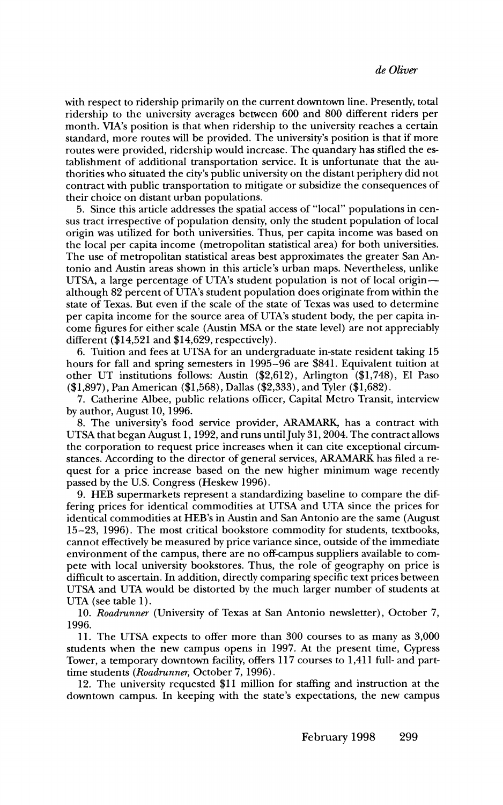with respect to ridership primarily on the current downtown line. Presently, total ridership to the university averages between 600 and 800 different riders per month. VIA's position is that when ridership to the university reaches a certain standard, more routes will be provided. The university's position is that if more routes were provided, ridership would increase. The quandary has stifled the establishment of additional transportation service. It is unfortunate that the authorities who situated the city's public university on the distant periphery did not contract with public transportation to mitigate or subsidize the consequences of their choice on distant urban populations.

5. Since this article addresses the spatial access of "local" populations in census tract irrespective of population density, only the student population of local origin was utilized for both universities. Thus, per capita income was based on the local per capita income (metropolitan statistical area) for both universities. The use of metropolitan statistical areas best approximates the greater San Antonio and Austin areas shown in this article's urban maps. Nevertheless, unlike UTSA, a large percentage of UTA's student population is not of local originalthough 82 percent of UTA's student population does originate from within the state of Texas. But even if the scale of the state of Texas was used to determine per capita income for the source area of UTA's student body, the per capita income figures for either scale (Austin MSA or the state level) are not appreciably different  $(\$14,521$  and  $\$14,629$ , respectively).

6. Tuition and fees at UTSA for an undergraduate in-state resident taking 15 hours for fall and spring semesters in 1995-96 are \$841. Equivalent tuition at other UT institutions follows: Austin (\$2,612), Arlington (\$1,748), El Paso (\$1,897), Pan American (\$1,568), Dallas (\$2,333), and Tyler (\$1,682).

7. Catherine Albee, public relations officer, Capital Metro Transit, interview by author, August 10,1996.

8. The university's food service provider, ARAMARK, has a contract with UTSA that began August 1,1992, and runs until July 31,2004. The contract allows the corporation to request price increases when it can cite exceptional circumstances. According to the director of general services, ARAMARK has filed a request for a price increase based on the new higher minimum wage recently passed by the U.S. Congress (Heskew 1996).

9. HEB supermarkets represent a standardizing baseline to compare the differing prices for identical commodities at UTSA and UTA since the prices for identical commodities at HEB's in Austin and San Antonio are the same (August 15-23, 1996). The most critical bookstore commodity for students, textbooks, cannot effectively be measured by price variance since, outside of the immediate environment of the campus, there are no off-campus suppliers available to compete with local university bookstores. Thus, the role of geography on price is difficult to ascertain. In addition, directly comparing specific text prices between UTSA and UTA would be distorted by the much larger number of students at UTA (see table 1).

10. Roadrunner (University of Texas at San Antonio newsletter), October 7, 1996.

11. The UTSA expects to offer more than 300 courses to as many as 3,000 students when the new campus opens in 1997. At the present time, Cypress Tower, a temporary downtown facility, offers 117 courses to 1,411 full- and parttime students (Roadrunner, October 7, 1996).

12. The university requested \$11 million for staffing and instruction at the downtown campus. In keeping with the state's expectations, the new campus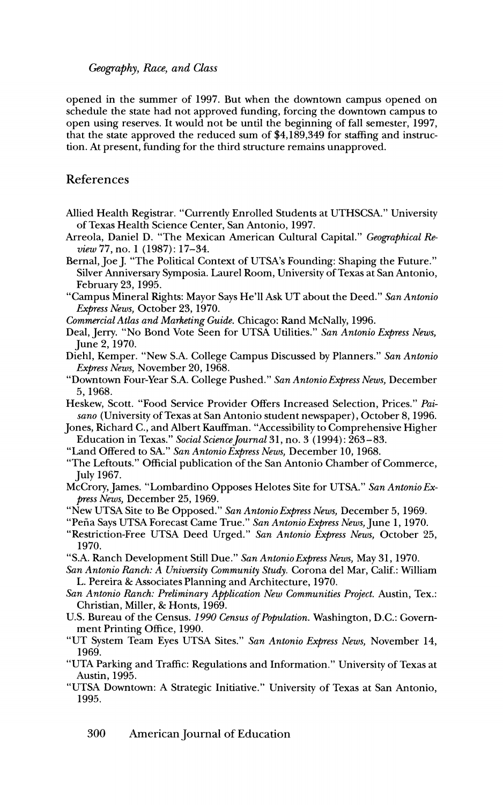#### *Geography, Race, and Class*

opened in the summer of 1997. But when the downtown campus opened on schedule the state had not approved funding, forcing the downtown campus to open using reserves. It would not be until the beginning of fall semester, 1997, that the state approved the reduced sum of \$4,189,349 for staffing and instruction. At present, funding for the third structure remains unapproved.

## References

- Allied Health Registrar. "Currently Enrolled Students at UTHSCSA." University of Texas Health Science Center, San Antonio, 1997.
- Arreola, Daniel D. "The Mexican American Cultural Capital." *Geographical Review* 77, no. 1 (1987): 17-34.
- Bernal, Joe J. "The Political Context of UTSA's Founding: Shaping the Future." Silver Anniversary Symposia. Laurel Room, University of Texas at San Antonio, February 23,1995.
- "Campus Mineral Rights: Mayor Says He'll Ask UT about the Deed." *Sun Antonio Express News,* October 23, 1970.
- *Commercial Atlas and Marketing Guide.* Chicago: Rand McNally, 1996.
- Deal, Jerry. "No Bond Vote Seen for UTSA Utilities." *Sun Antonio Express News,*  June 2,1970.
- Diehl, Kemper. "New S.A. College Campus Discussed by Planners." *Sun Antonio Express News,* November 20,1968.
- "Downtown Four-Year S.A. College Pushed." *Sun Antonio Express News,* December 5, 1968.
- Heskew, Scott. "Food Service Provider Offers Increased Selection, Prices." *Paisano* (University of Texas at San Antonio student newspaper), October 8,1996.
- Jones, Richard C., and Albert Kauffman. "Accessibility to Comprehensive Higher Education in Texas." *Social ScienceJournal31,* no. *3* (1994): 263-83.
- "Land Offered to SA." *Sun Antonio Express News,* December 10, 1968.
- "The Leftouts." Official publication of the San Antonio Chamber of Commerce, July 1967.
- McCrory, James. "Lombardino Opposes Helotes Site for UTSA." *Sun Antonio Express News,* December 25,1969.
- "New UTSA Site to Be Opposed." *Sun Antonio Express News,* December 5, 1969.
- "Pefia Says UTSA Forecast Came True." *Sun Antonio Express News,* June 1, 1970.
- "Restriction-Free UTSA Deed Urged." *Sun Antonio Express News,* October 25, 1970.
- "S.A. Ranch Development Still Due." *Sun AntonioExpress News,* May 31, 1970.
- *Sun Antonio Ranch: A University Community Study.* Corona del Mar, Calif.: William L. Pereira & Associates Planning and Architecture, 1970.
- *Sun Antonio Ranch: Preliminary Application New Communities Project.* Austin, Tex.: Christian, Miller, & Honts, 1969.
- U.S. Bureau of the Census. 1990 *Census of Population*. Washington, D.C.: Government Printing Office, 1990.
- "UT System Team Eyes UTSA Sites." *Sun Antonio Express News,* November 14, 1969.
- "UTA Parking and Traffic: Regulations and Information." University of Texas at Austin, 1995.
- "UTSA Downtown: A Strategic Initiative." University of Texas at San Antonio, 1995.